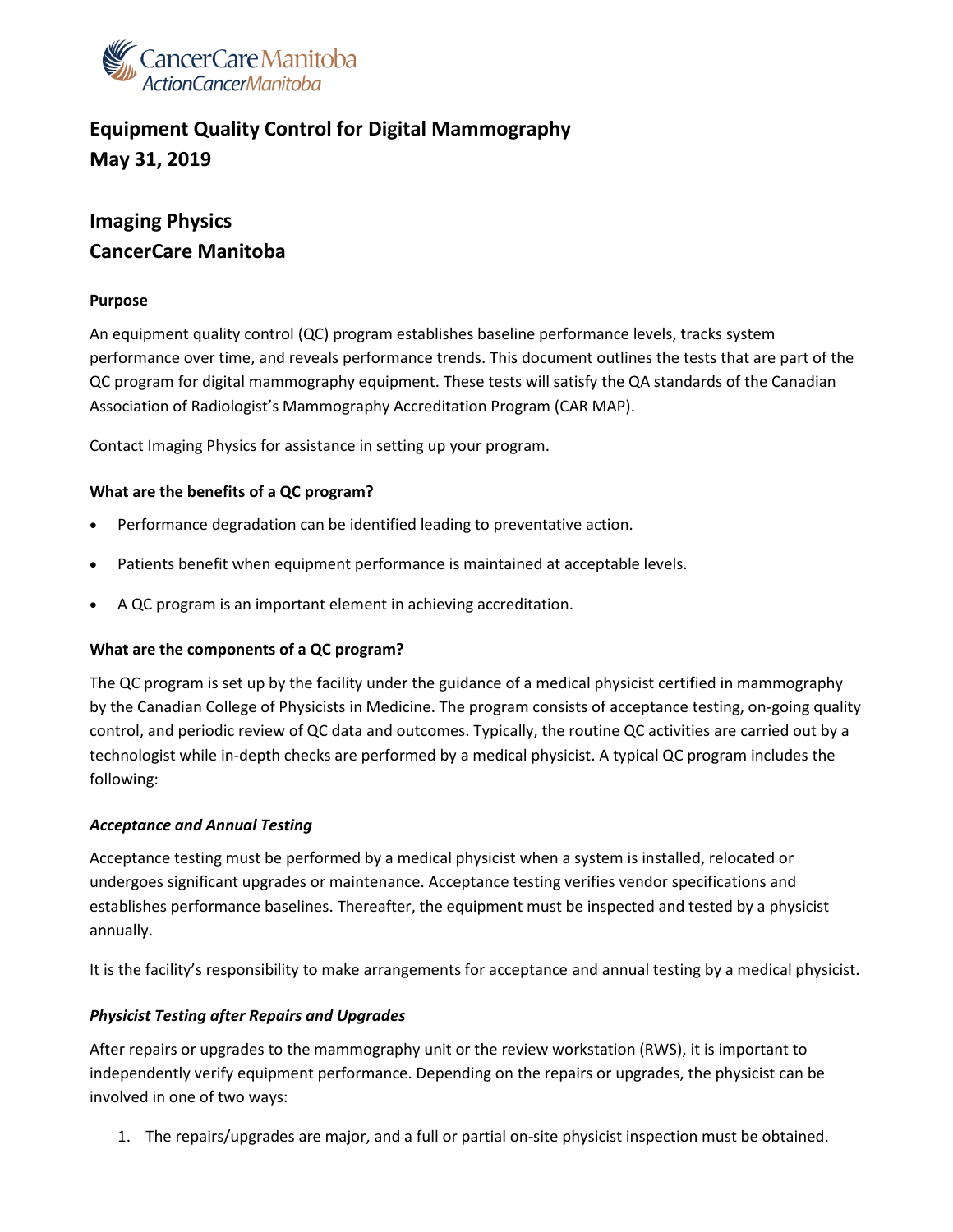

# **Equipment Quality Control for Digital Mammography May 31, 2019**

# **Imaging Physics CancerCare Manitoba**

### **Purpose**

An equipment quality control (QC) program establishes baseline performance levels, tracks system performance over time, and reveals performance trends. This document outlines the tests that are part of the QC program for digital mammography equipment. These tests will satisfy the QA standards of the Canadian Association of Radiologist's Mammography Accreditation Program (CAR MAP).

Contact Imaging Physics for assistance in setting up your program.

### **What are the benefits of a QC program?**

- Performance degradation can be identified leading to preventative action.
- Patients benefit when equipment performance is maintained at acceptable levels.
- A QC program is an important element in achieving accreditation.

### **What are the components of a QC program?**

The QC program is set up by the facility under the guidance of a medical physicist certified in mammography by the Canadian College of Physicists in Medicine. The program consists of acceptance testing, on-going quality control, and periodic review of QC data and outcomes. Typically, the routine QC activities are carried out by a technologist while in-depth checks are performed by a medical physicist. A typical QC program includes the following:

### *Acceptance and Annual Testing*

Acceptance testing must be performed by a medical physicist when a system is installed, relocated or undergoes significant upgrades or maintenance. Acceptance testing verifies vendor specifications and establishes performance baselines. Thereafter, the equipment must be inspected and tested by a physicist annually.

It is the facility's responsibility to make arrangements for acceptance and annual testing by a medical physicist.

### *Physicist Testing after Repairs and Upgrades*

After repairs or upgrades to the mammography unit or the review workstation (RWS), it is important to independently verify equipment performance. Depending on the repairs or upgrades, the physicist can be involved in one of two ways:

1. The repairs/upgrades are major, and a full or partial on-site physicist inspection must be obtained.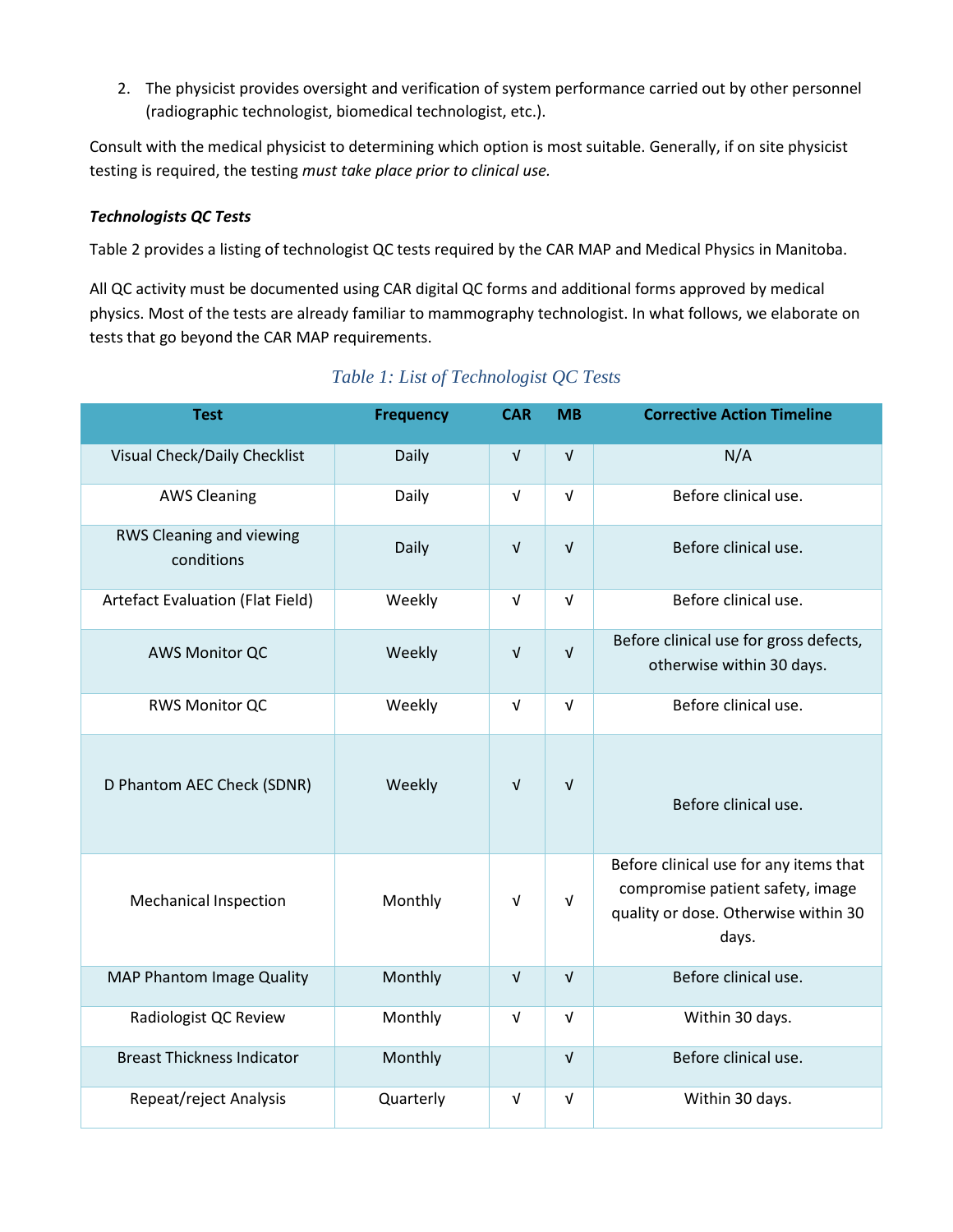2. The physicist provides oversight and verification of system performance carried out by other personnel (radiographic technologist, biomedical technologist, etc.).

Consult with the medical physicist to determining which option is most suitable. Generally, if on site physicist testing is required, the testing *must take place prior to clinical use.* 

## *Technologists QC Tests*

Table 2 provides a listing of technologist QC tests required by the CAR MAP and Medical Physics in Manitoba.

All QC activity must be documented using CAR digital QC forms and additional forms approved by medical physics. Most of the tests are already familiar to mammography technologist. In what follows, we elaborate on tests that go beyond the CAR MAP requirements.

| <b>Test</b>                            | <b>Frequency</b> | <b>CAR</b> | <b>MB</b>  | <b>Corrective Action Timeline</b>                                                                                           |
|----------------------------------------|------------------|------------|------------|-----------------------------------------------------------------------------------------------------------------------------|
| Visual Check/Daily Checklist           | Daily            | $\sqrt{ }$ | $\sqrt{ }$ | N/A                                                                                                                         |
| <b>AWS Cleaning</b>                    | Daily            | $\sqrt{ }$ | $\sqrt{ }$ | Before clinical use.                                                                                                        |
| RWS Cleaning and viewing<br>conditions | Daily            | $\sqrt{ }$ | $\sqrt{ }$ | Before clinical use.                                                                                                        |
| Artefact Evaluation (Flat Field)       | Weekly           | $\sqrt{ }$ | $\sqrt{ }$ | Before clinical use.                                                                                                        |
| <b>AWS Monitor QC</b>                  | Weekly           | $\sqrt{ }$ | $\sqrt{ }$ | Before clinical use for gross defects,<br>otherwise within 30 days.                                                         |
| <b>RWS Monitor QC</b>                  | Weekly           | $\sqrt{ }$ | $\sqrt{ }$ | Before clinical use.                                                                                                        |
| D Phantom AEC Check (SDNR)             | Weekly           | $\sqrt{ }$ | $\sqrt{ }$ | Before clinical use.                                                                                                        |
| <b>Mechanical Inspection</b>           | Monthly          | $\sqrt{ }$ | $\sqrt{ }$ | Before clinical use for any items that<br>compromise patient safety, image<br>quality or dose. Otherwise within 30<br>days. |
| <b>MAP Phantom Image Quality</b>       | Monthly          | $\sqrt{ }$ | $\sqrt{ }$ | Before clinical use.                                                                                                        |
| Radiologist QC Review                  | Monthly          | $\sqrt{ }$ | $\sqrt{ }$ | Within 30 days.                                                                                                             |
| <b>Breast Thickness Indicator</b>      | Monthly          |            | $\sqrt{ }$ | Before clinical use.                                                                                                        |
| Repeat/reject Analysis                 | Quarterly        | $\sqrt{ }$ | $\sqrt{ }$ | Within 30 days.                                                                                                             |

# *Table 1: List of Technologist QC Tests*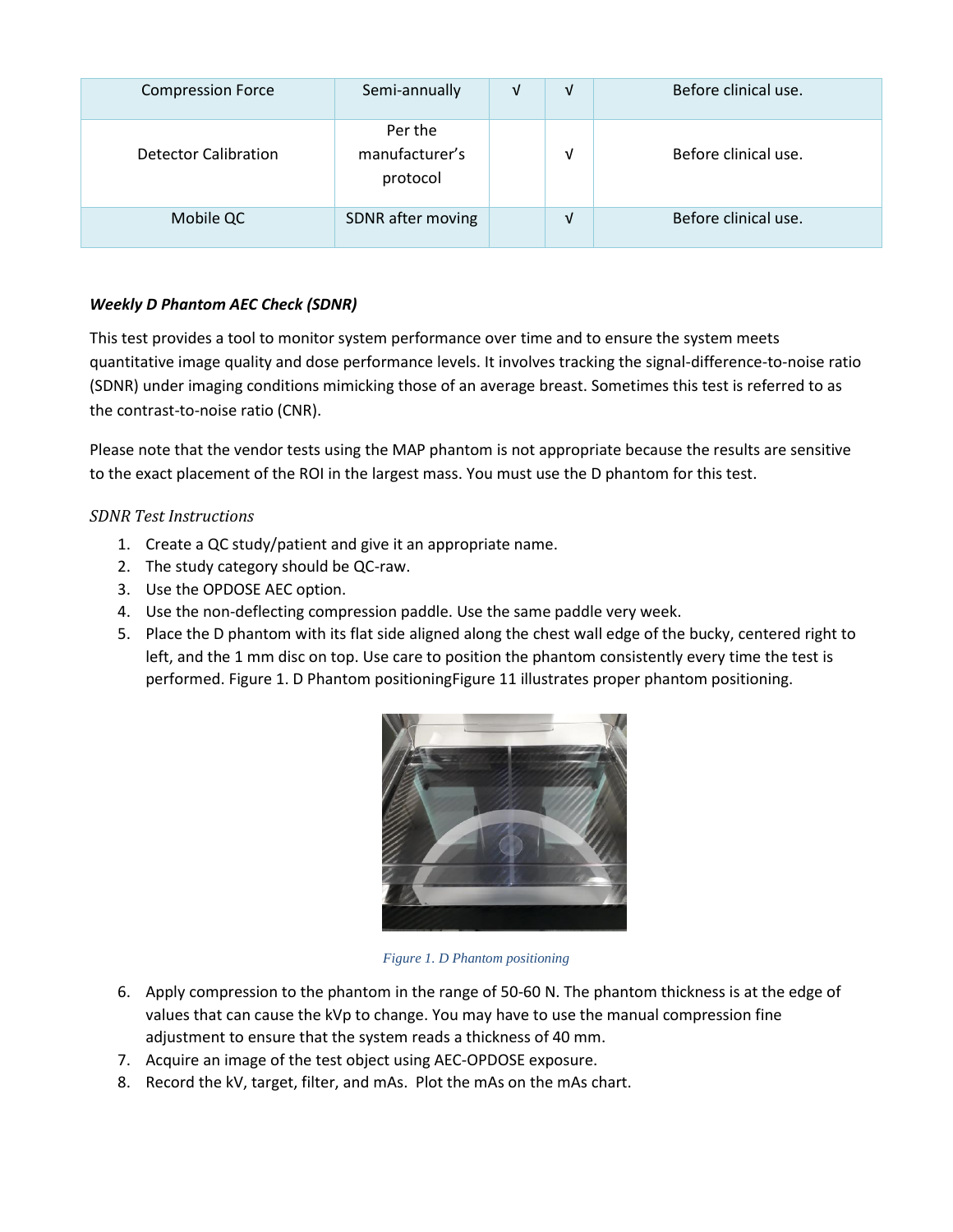| <b>Compression Force</b>    | Semi-annually                         | V | ν | Before clinical use. |
|-----------------------------|---------------------------------------|---|---|----------------------|
| <b>Detector Calibration</b> | Per the<br>manufacturer's<br>protocol |   | ν | Before clinical use. |
| Mobile QC                   | SDNR after moving                     |   | V | Before clinical use. |

# *Weekly D Phantom AEC Check (SDNR)*

This test provides a tool to monitor system performance over time and to ensure the system meets quantitative image quality and dose performance levels. It involves tracking the signal-difference-to-noise ratio (SDNR) under imaging conditions mimicking those of an average breast. Sometimes this test is referred to as the contrast-to-noise ratio (CNR).

Please note that the vendor tests using the MAP phantom is not appropriate because the results are sensitive to the exact placement of the ROI in the largest mass. You must use the D phantom for this test.

# *SDNR Test Instructions*

- 1. Create a QC study/patient and give it an appropriate name.
- 2. The study category should be QC-raw.
- 3. Use the OPDOSE AEC option.
- 4. Use the non-deflecting compression paddle. Use the same paddle very week.
- 5. Place the D phantom with its flat side aligned along the chest wall edge of the bucky, centered right to left, and the 1 mm disc on top. Use care to position the phantom consistently every time the test is performed. [Figure 1. D Phantom positioningFigure 11](#page-2-0) illustrates proper phantom positioning.



*Figure 1. D Phantom positioning*

- <span id="page-2-0"></span>6. Apply compression to the phantom in the range of 50-60 N. The phantom thickness is at the edge of values that can cause the kVp to change. You may have to use the manual compression fine adjustment to ensure that the system reads a thickness of 40 mm.
- 7. Acquire an image of the test object using AEC-OPDOSE exposure.
- 8. Record the kV, target, filter, and mAs. Plot the mAs on the mAs chart.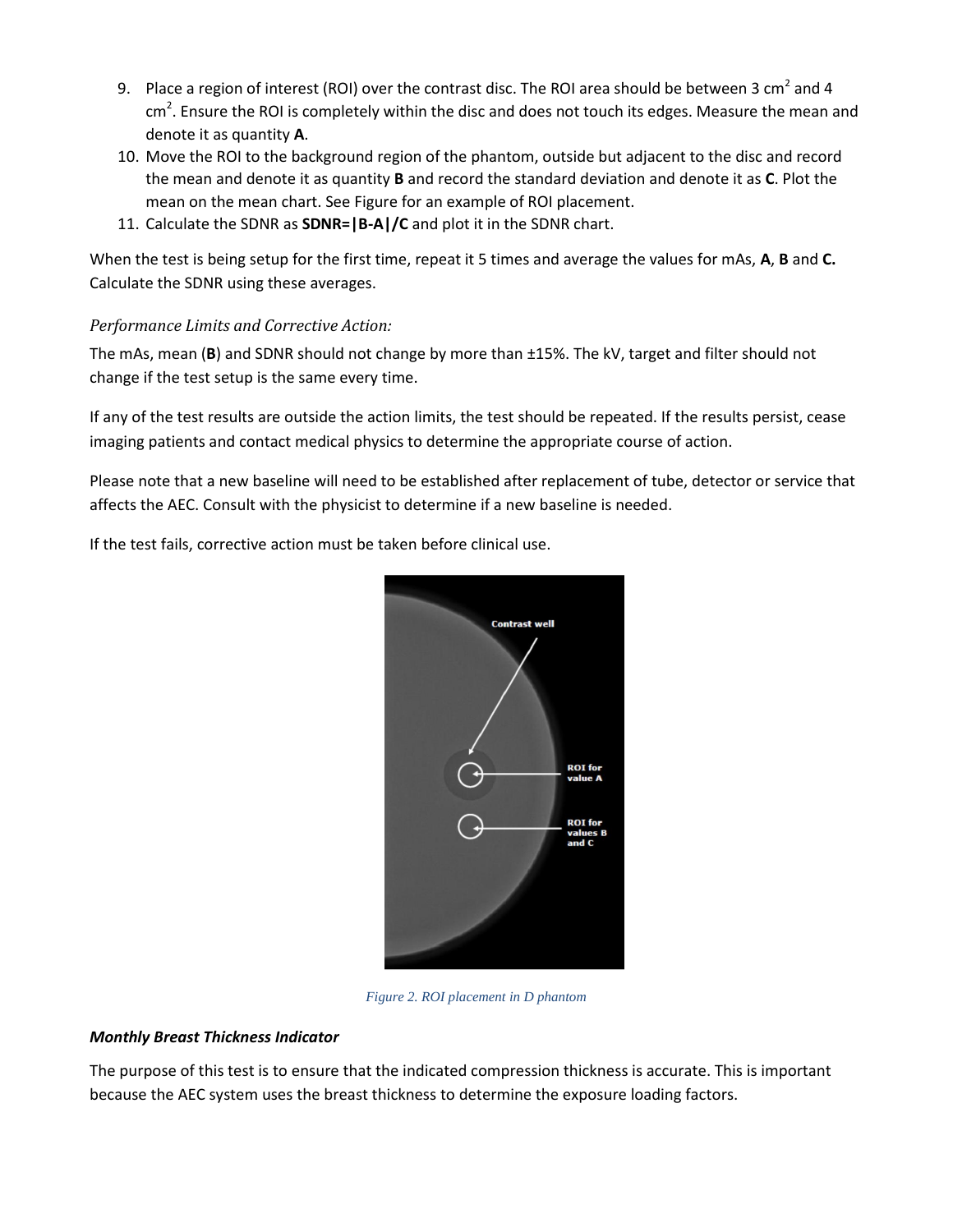- 9. Place a region of interest (ROI) over the contrast disc. The ROI area should be between 3 cm<sup>2</sup> and 4  $\textsf{cm}^2$ . Ensure the ROI is completely within the disc and does not touch its edges. Measure the mean and denote it as quantity **A**.
- 10. Move the ROI to the background region of the phantom, outside but adjacent to the disc and record the mean and denote it as quantity **B** and record the standard deviation and denote it as **C**. Plot the mean on the mean chart. Se[e Figure](#page-3-0) for an example of ROI placement.
- 11. Calculate the SDNR as **SDNR=|B-A|/C** and plot it in the SDNR chart.

When the test is being setup for the first time, repeat it 5 times and average the values for mAs, **A**, **B** and **C.** Calculate the SDNR using these averages.

## *Performance Limits and Corrective Action:*

The mAs, mean (**B**) and SDNR should not change by more than ±15%. The kV, target and filter should not change if the test setup is the same every time.

If any of the test results are outside the action limits, the test should be repeated. If the results persist, cease imaging patients and contact medical physics to determine the appropriate course of action.

Please note that a new baseline will need to be established after replacement of tube, detector or service that affects the AEC. Consult with the physicist to determine if a new baseline is needed.

If the test fails, corrective action must be taken before clinical use.



*Figure 2. ROI placement in D phantom*

## <span id="page-3-0"></span>*Monthly Breast Thickness Indicator*

The purpose of this test is to ensure that the indicated compression thickness is accurate. This is important because the AEC system uses the breast thickness to determine the exposure loading factors.